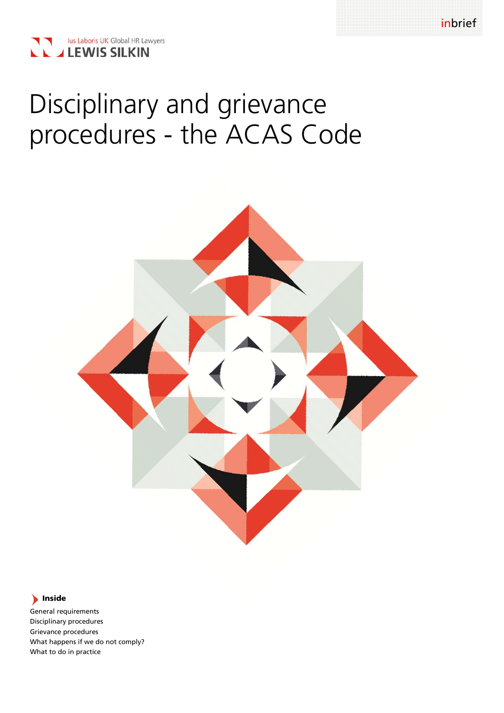

# Disciplinary and grievance procedures - the ACAS Code



# **Inside**

General requirements Disciplinary procedures Grievance procedures What happens if we do not comply? What to do in practice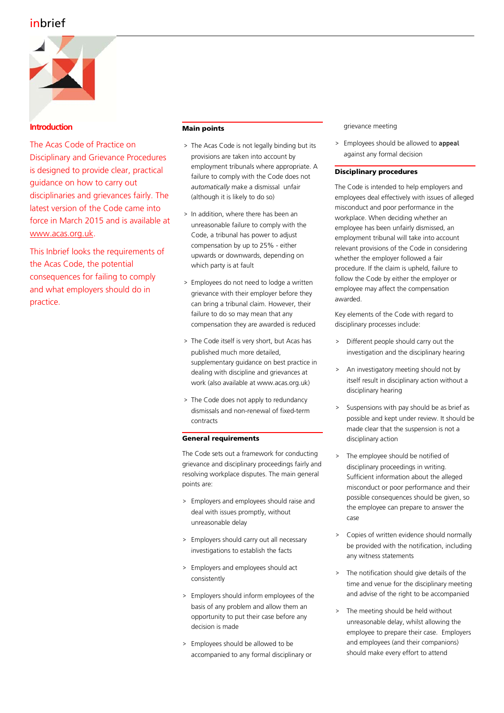# inbrief



# **Introduction**

The Acas Code of Practice on Disciplinary and Grievance Procedures is designed to provide clear, practical guidance on how to carry out disciplinaries and grievances fairly. The latest version of the Code came into force in March 2015 and is available at www.acas.org.uk.

This Inbrief looks the requirements of the Acas Code, the potential consequences for failing to comply and what employers should do in practice.

# **Main points**

- > The Acas Code is not legally binding but its provisions are taken into account by employment tribunals where appropriate. A failure to comply with the Code does not *automatically* make a dismissal unfair (although it is likely to do so)
- > In addition, where there has been an unreasonable failure to comply with the Code, a tribunal has power to adjust compensation by up to 25% - either upwards or downwards, depending on which party is at fault
- > Employees do not need to lodge a written grievance with their employer before they can bring a tribunal claim. However, their failure to do so may mean that any compensation they are awarded is reduced
- > The Code itself is very short, but Acas has published much more detailed, supplementary guidance on best practice in dealing with discipline and grievances at work (also available at www.acas.org.uk)
- > The Code does not apply to redundancy dismissals and non-renewal of fixed-term contracts

## **General requirements**

The Code sets out a framework for conducting grievance and disciplinary proceedings fairly and resolving workplace disputes. The main general points are:

- > Employers and employees should raise and deal with issues promptly, without unreasonable delay
- > Employers should carry out all necessary investigations to establish the facts
- > Employers and employees should act consistently
- > Employers should inform employees of the basis of any problem and allow them an opportunity to put their case before any decision is made
- > Employees should be allowed to be accompanied to any formal disciplinary or

grievance meeting

> Employees should be allowed to appeal against any formal decision

### **Disciplinary procedures**

The Code is intended to help employers and employees deal effectively with issues of alleged misconduct and poor performance in the workplace. When deciding whether an employee has been unfairly dismissed, an employment tribunal will take into account relevant provisions of the Code in considering whether the employer followed a fair procedure. If the claim is upheld, failure to follow the Code by either the employer or employee may affect the compensation awarded.

Key elements of the Code with regard to disciplinary processes include:

- > Different people should carry out the investigation and the disciplinary hearing
- > An investigatory meeting should not by itself result in disciplinary action without a disciplinary hearing
- > Suspensions with pay should be as brief as possible and kept under review. It should be made clear that the suspension is not a disciplinary action
- The employee should be notified of disciplinary proceedings in writing. Sufficient information about the alleged misconduct or poor performance and their possible consequences should be given, so the employee can prepare to answer the case
- Copies of written evidence should normally be provided with the notification, including any witness statements
- > The notification should give details of the time and venue for the disciplinary meeting and advise of the right to be accompanied
- The meeting should be held without unreasonable delay, whilst allowing the employee to prepare their case. Employers and employees (and their companions) should make every effort to attend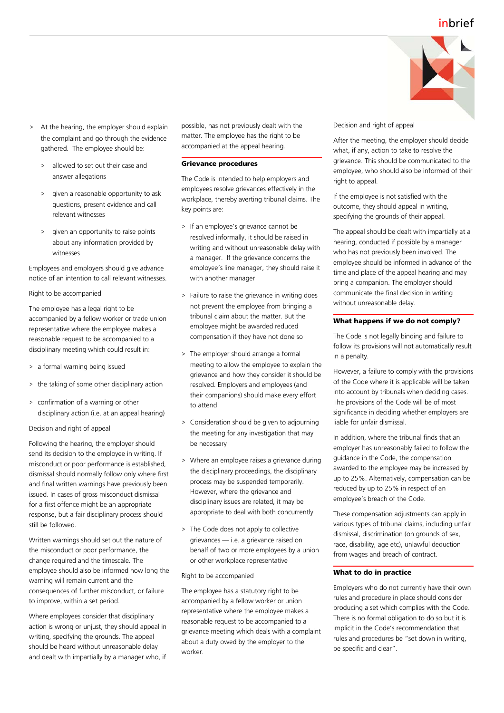

- > At the hearing, the employer should explain the complaint and go through the evidence gathered. The employee should be:
	- > allowed to set out their case and answer allegations
	- > given a reasonable opportunity to ask questions, present evidence and call relevant witnesses
	- > given an opportunity to raise points about any information provided by witnesses

Employees and employers should give advance notice of an intention to call relevant witnesses.

#### Right to be accompanied

The employee has a legal right to be accompanied by a fellow worker or trade union representative where the employee makes a reasonable request to be accompanied to a disciplinary meeting which could result in:

- > a formal warning being issued
- > the taking of some other disciplinary action
- > confirmation of a warning or other disciplinary action (i.e. at an appeal hearing)

Decision and right of appeal

Following the hearing, the employer should send its decision to the employee in writing. If misconduct or poor performance is established, dismissal should normally follow only where first and final written warnings have previously been issued. In cases of gross misconduct dismissal for a first offence might be an appropriate response, but a fair disciplinary process should still be followed.

Written warnings should set out the nature of the misconduct or poor performance, the change required and the timescale. The employee should also be informed how long the warning will remain current and the consequences of further misconduct, or failure to improve, within a set period.

Where employees consider that disciplinary action is wrong or unjust, they should appeal in writing, specifying the grounds. The appeal should be heard without unreasonable delay and dealt with impartially by a manager who, if

possible, has not previously dealt with the matter. The employee has the right to be accompanied at the appeal hearing.

#### **Grievance procedures**

The Code is intended to help employers and employees resolve grievances effectively in the workplace, thereby averting tribunal claims. The key points are:

- > If an employee's grievance cannot be resolved informally, it should be raised in writing and without unreasonable delay with a manager. If the grievance concerns the employee's line manager, they should raise it with another manager
- > Failure to raise the grievance in writing does not prevent the employee from bringing a tribunal claim about the matter. But the employee might be awarded reduced compensation if they have not done so
- > The employer should arrange a formal meeting to allow the employee to explain the grievance and how they consider it should be resolved. Employers and employees (and their companions) should make every effort to attend
- > Consideration should be given to adjourning the meeting for any investigation that may be necessary
- > Where an employee raises a grievance during the disciplinary proceedings, the disciplinary process may be suspended temporarily. However, where the grievance and disciplinary issues are related, it may be appropriate to deal with both concurrently
- > The Code does not apply to collective grievances — i.e. a grievance raised on behalf of two or more employees by a union or other workplace representative

#### Right to be accompanied

The employee has a statutory right to be accompanied by a fellow worker or union representative where the employee makes a reasonable request to be accompanied to a grievance meeting which deals with a complaint about a duty owed by the employer to the worker.

Decision and right of appeal

After the meeting, the employer should decide what, if any, action to take to resolve the grievance. This should be communicated to the employee, who should also be informed of their right to appeal.

If the employee is not satisfied with the outcome, they should appeal in writing, specifying the grounds of their appeal.

The appeal should be dealt with impartially at a hearing, conducted if possible by a manager who has not previously been involved. The employee should be informed in advance of the time and place of the appeal hearing and may bring a companion. The employer should communicate the final decision in writing without unreasonable delay.

#### **What happens if we do not comply?**

The Code is not legally binding and failure to follow its provisions will not automatically result in a penalty.

However, a failure to comply with the provisions of the Code where it is applicable will be taken into account by tribunals when deciding cases. The provisions of the Code will be of most significance in deciding whether employers are liable for unfair dismissal.

In addition, where the tribunal finds that an employer has unreasonably failed to follow the guidance in the Code, the compensation awarded to the employee may be increased by up to 25%. Alternatively, compensation can be reduced by up to 25% in respect of an employee's breach of the Code.

These compensation adjustments can apply in various types of tribunal claims, including unfair dismissal, discrimination (on grounds of sex, race, disability, age etc), unlawful deduction from wages and breach of contract.

#### **What to do in practice**

Employers who do not currently have their own rules and procedure in place should consider producing a set which complies with the Code. There is no formal obligation to do so but it is implicit in the Code's recommendation that rules and procedures be "set down in writing, be specific and clear".